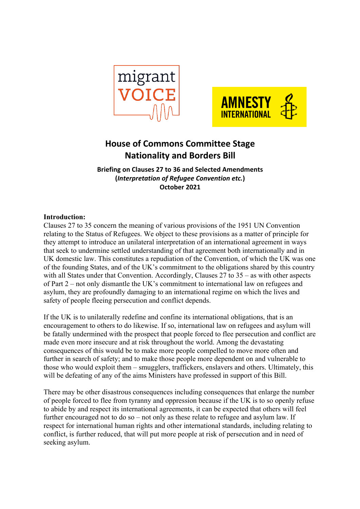



# **House of Commons Committee Stage Nationality and Borders Bill**

**Briefing on Clauses 27 to 36 and Selected Amendments (***Interpretation of Refugee Convention etc.***) October 2021**

## **Introduction:**

Clauses 27 to 35 concern the meaning of various provisions of the 1951 UN Convention relating to the Status of Refugees. We object to these provisions as a matter of principle for they attempt to introduce an unilateral interpretation of an international agreement in ways that seek to undermine settled understanding of that agreement both internationally and in UK domestic law. This constitutes a repudiation of the Convention, of which the UK was one of the founding States, and of the UK's commitment to the obligations shared by this country with all States under that Convention. Accordingly, Clauses 27 to 35 – as with other aspects of Part 2 – not only dismantle the UK's commitment to international law on refugees and asylum, they are profoundly damaging to an international regime on which the lives and safety of people fleeing persecution and conflict depends.

If the UK is to unilaterally redefine and confine its international obligations, that is an encouragement to others to do likewise. If so, international law on refugees and asylum will be fatally undermined with the prospect that people forced to flee persecution and conflict are made even more insecure and at risk throughout the world. Among the devastating consequences of this would be to make more people compelled to move more often and further in search of safety; and to make those people more dependent on and vulnerable to those who would exploit them – smugglers, traffickers, enslavers and others. Ultimately, this will be defeating of any of the aims Ministers have professed in support of this Bill.

There may be other disastrous consequences including consequences that enlarge the number of people forced to flee from tyranny and oppression because if the UK is to so openly refuse to abide by and respect its international agreements, it can be expected that others will feel further encouraged not to do so – not only as these relate to refugee and asylum law. If respect for international human rights and other international standards, including relating to conflict, is further reduced, that will put more people at risk of persecution and in need of seeking asylum.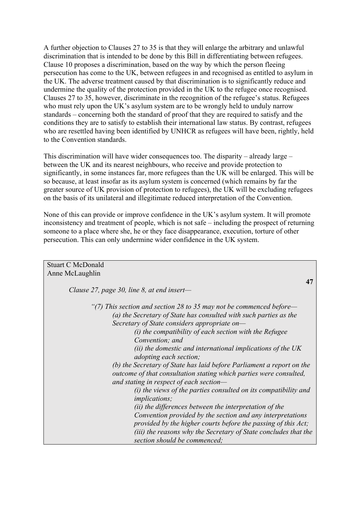A further objection to Clauses 27 to 35 is that they will enlarge the arbitrary and unlawful discrimination that is intended to be done by this Bill in differentiating between refugees. Clause 10 proposes a discrimination, based on the way by which the person fleeing persecution has come to the UK, between refugees in and recognised as entitled to asylum in the UK. The adverse treatment caused by that discrimination is to significantly reduce and undermine the quality of the protection provided in the UK to the refugee once recognised. Clauses 27 to 35, however, discriminate in the recognition of the refugee's status. Refugees who must rely upon the UK's asylum system are to be wrongly held to unduly narrow standards – concerning both the standard of proof that they are required to satisfy and the conditions they are to satisfy to establish their international law status. By contrast, refugees who are resettled having been identified by UNHCR as refugees will have been, rightly, held to the Convention standards.

This discrimination will have wider consequences too. The disparity – already large – between the UK and its nearest neighbours, who receive and provide protection to significantly, in some instances far, more refugees than the UK will be enlarged. This will be so because, at least insofar as its asylum system is concerned (which remains by far the greater source of UK provision of protection to refugees), the UK will be excluding refugees on the basis of its unilateral and illegitimate reduced interpretation of the Convention.

None of this can provide or improve confidence in the UK's asylum system. It will promote inconsistency and treatment of people, which is not safe – including the prospect of returning someone to a place where she, he or they face disappearance, execution, torture of other persecution. This can only undermine wider confidence in the UK system.

| <b>Stuart C McDonald</b>                                              |
|-----------------------------------------------------------------------|
| Anne McLaughlin                                                       |
| 47                                                                    |
| Clause 27, page 30, line 8, at end insert-                            |
|                                                                       |
| "(7) This section and section 28 to 35 may not be commenced before—   |
| (a) the Secretary of State has consulted with such parties as the     |
| Secretary of State considers appropriate on-                          |
| $(i)$ the compatibility of each section with the Refugee              |
| Convention; and                                                       |
| (ii) the domestic and international implications of the $UK$          |
| <i>adopting each section;</i>                                         |
| (b) the Secretary of State has laid before Parliament a report on the |
| outcome of that consultation stating which parties were consulted,    |
| and stating in respect of each section-                               |
| (i) the views of the parties consulted on its compatibility and       |
| <i>implications;</i>                                                  |
| (ii) the differences between the interpretation of the                |
| Convention provided by the section and any interpretations            |
| provided by the higher courts before the passing of this Act;         |
| (iii) the reasons why the Secretary of State concludes that the       |
| section should be commenced;                                          |
|                                                                       |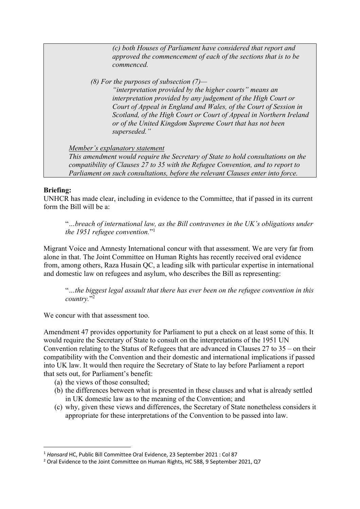*(c) both Houses of Parliament have considered that report and approved the commencement of each of the sections that is to be commenced.* 

*(8) For the purposes of subsection (7)—*

*"interpretation provided by the higher courts" means an interpretation provided by any judgement of the High Court or Court of Appeal in England and Wales, of the Court of Session in Scotland, of the High Court or Court of Appeal in Northern Ireland or of the United Kingdom Supreme Court that has not been superseded."* 

*Member's explanatory statement* 

*This amendment would require the Secretary of State to hold consultations on the compatibility of Clauses 27 to 35 with the Refugee Convention, and to report to Parliament on such consultations, before the relevant Clauses enter into force.* 

# **Briefing:**

UNHCR has made clear, including in evidence to the Committee, that if passed in its current form the Bill will be a:

"*…breach of international law, as the Bill contravenes in the UK's obligations under the 1951 refugee convention.*"1

Migrant Voice and Amnesty International concur with that assessment. We are very far from alone in that. The Joint Committee on Human Rights has recently received oral evidence from, among others, Raza Husain QC, a leading silk with particular expertise in international and domestic law on refugees and asylum, who describes the Bill as representing:

"*…the biggest legal assault that there has ever been on the refugee convention in this country.*"2

We concur with that assessment too.

Amendment 47 provides opportunity for Parliament to put a check on at least some of this. It would require the Secretary of State to consult on the interpretations of the 1951 UN Convention relating to the Status of Refugees that are advanced in Clauses 27 to 35 – on their compatibility with the Convention and their domestic and international implications if passed into UK law. It would then require the Secretary of State to lay before Parliament a report that sets out, for Parliament's benefit:

- (a) the views of those consulted;
- (b) the differences between what is presented in these clauses and what is already settled in UK domestic law as to the meaning of the Convention; and
- (c) why, given these views and differences, the Secretary of State nonetheless considers it appropriate for these interpretations of the Convention to be passed into law.

<sup>1</sup> *Hansard* HC, Public Bill Committee Oral Evidence, 23 September 2021 : Col 87

<sup>2</sup> Oral Evidence to the Joint Committee on Human Rights, HC 588, 9 September 2021, Q7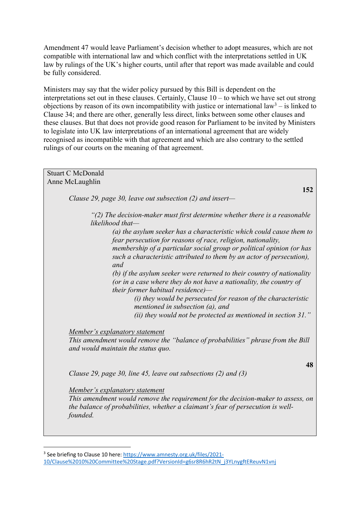Amendment 47 would leave Parliament's decision whether to adopt measures, which are not compatible with international law and which conflict with the interpretations settled in UK law by rulings of the UK's higher courts, until after that report was made available and could be fully considered.

Ministers may say that the wider policy pursued by this Bill is dependent on the interpretations set out in these clauses. Certainly, Clause 10 – to which we have set out strong objections by reason of its own incompatibility with justice or international law<sup>3</sup> – is linked to Clause 34; and there are other, generally less direct, links between some other clauses and these clauses. But that does not provide good reason for Parliament to be invited by Ministers to legislate into UK law interpretations of an international agreement that are widely recognised as incompatible with that agreement and which are also contrary to the settled rulings of our courts on the meaning of that agreement.

# Stuart C McDonald Anne McLaughlin **152**  *Clause 29, page 30, leave out subsection (2) and insert— "(2) The decision-maker must first determine whether there is a reasonable likelihood that— (a) the asylum seeker has a characteristic which could cause them to fear persecution for reasons of race, religion, nationality, membership of a particular social group or political opinion (or has such a characteristic attributed to them by an actor of persecution), and (b) if the asylum seeker were returned to their country of nationality (or in a case where they do not have a nationality, the country of their former habitual residence)— (i) they would be persecuted for reason of the characteristic mentioned in subsection (a), and (ii) they would not be protected as mentioned in section 31." Member's explanatory statement This amendment would remove the "balance of probabilities" phrase from the Bill and would maintain the status quo.*  **48** *Clause 29, page 30, line 45, leave out subsections (2) and (3) Member's explanatory statement This amendment would remove the requirement for the decision-maker to assess, on the balance of probabilities, whether a claimant's fear of persecution is wellfounded.*

<sup>3</sup> See briefing to Clause 10 here: https://www.amnesty.org.uk/files/2021- 10/Clause%2010%20Committee%20Stage.pdf?VersionId=g6sr8R6hR2tN\_j3YLnygftEReuvN1vnj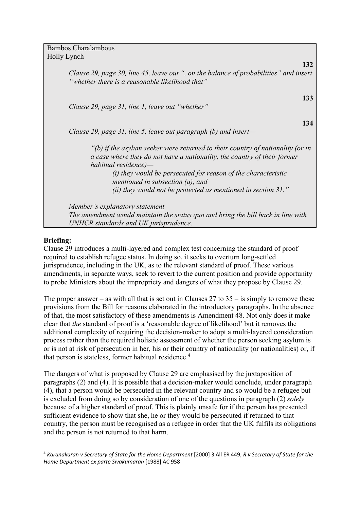Bambos Charalambous Holly Lynch

| 132                                                                                                                                                                                   |
|---------------------------------------------------------------------------------------------------------------------------------------------------------------------------------------|
| Clause 29, page 30, line 45, leave out ", on the balance of probabilities" and insert<br>"whether there is a reasonable likelihood that"                                              |
| 133<br>Clause 29, page 31, line 1, leave out "whether"                                                                                                                                |
| 134                                                                                                                                                                                   |
| Clause 29, page 31, line 5, leave out paragraph (b) and insert—                                                                                                                       |
| $"$ (b) if the asylum seeker were returned to their country of nationality (or in<br>a case where they do not have a nationality, the country of their former<br>habitual residence)— |
| $(i)$ they would be persecuted for reason of the characteristic<br>mentioned in subsection $(a)$ , and                                                                                |
| (ii) they would not be protected as mentioned in section $31$ ."                                                                                                                      |
| <u>Member's explanatory statement</u>                                                                                                                                                 |
| The amendment would maintain the status quo and bring the bill back in line with                                                                                                      |
| UNHCR standards and UK jurisprudence.                                                                                                                                                 |

# **Briefing:**

Clause 29 introduces a multi-layered and complex test concerning the standard of proof required to establish refugee status. In doing so, it seeks to overturn long-settled jurisprudence, including in the UK, as to the relevant standard of proof. These various amendments, in separate ways, seek to revert to the current position and provide opportunity to probe Ministers about the impropriety and dangers of what they propose by Clause 29.

The proper answer – as with all that is set out in Clauses  $27$  to  $35 -$  is simply to remove these provisions from the Bill for reasons elaborated in the introductory paragraphs. In the absence of that, the most satisfactory of these amendments is Amendment 48. Not only does it make clear that *the* standard of proof is a 'reasonable degree of likelihood' but it removes the additional complexity of requiring the decision-maker to adopt a multi-layered consideration process rather than the required holistic assessment of whether the person seeking asylum is or is not at risk of persecution in her, his or their country of nationality (or nationalities) or, if that person is stateless, former habitual residence.<sup>4</sup>

The dangers of what is proposed by Clause 29 are emphasised by the juxtaposition of paragraphs (2) and (4). It is possible that a decision-maker would conclude, under paragraph (4), that a person would be persecuted in the relevant country and so would be a refugee but is excluded from doing so by consideration of one of the questions in paragraph (2) *solely* because of a higher standard of proof. This is plainly unsafe for if the person has presented sufficient evidence to show that she, he or they would be persecuted if returned to that country, the person must be recognised as a refugee in order that the UK fulfils its obligations and the person is not returned to that harm.

<sup>4</sup> *Karanakaran v Secretary of State for the Home Department* [2000] 3 All ER 449; *R v Secretary of State for the Home Department ex parte Sivakumaran* [1988] AC 958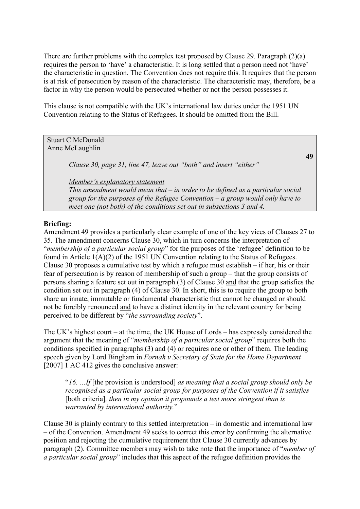There are further problems with the complex test proposed by Clause 29. Paragraph (2)(a) requires the person to 'have' a characteristic. It is long settled that a person need not 'have' the characteristic in question. The Convention does not require this. It requires that the person is at risk of persecution by reason of the characteristic. The characteristic may, therefore, be a factor in why the person would be persecuted whether or not the person possesses it.

This clause is not compatible with the UK's international law duties under the 1951 UN Convention relating to the Status of Refugees. It should be omitted from the Bill.

Stuart C McDonald Anne McLaughlin

*Clause 30, page 31, line 47, leave out "both" and insert "either"* 

*Member's explanatory statement* 

*This amendment would mean that – in order to be defined as a particular social group for the purposes of the Refugee Convention – a group would only have to meet one (not both) of the conditions set out in subsections 3 and 4.* 

**49**

## **Briefing:**

Amendment 49 provides a particularly clear example of one of the key vices of Clauses 27 to 35. The amendment concerns Clause 30, which in turn concerns the interpretation of "*membership of a particular social group*" for the purposes of the 'refugee' definition to be found in Article 1(A)(2) of the 1951 UN Convention relating to the Status of Refugees. Clause 30 proposes a cumulative test by which a refugee must establish – if her, his or their fear of persecution is by reason of membership of such a group – that the group consists of persons sharing a feature set out in paragraph (3) of Clause 30 and that the group satisfies the condition set out in paragraph (4) of Clause 30. In short, this is to require the group to both share an innate, immutable or fundamental characteristic that cannot be changed or should not be forcibly renounced and to have a distinct identity in the relevant country for being perceived to be different by "*the surrounding society*".

The UK's highest court – at the time, the UK House of Lords – has expressly considered the argument that the meaning of "*membership of a particular social group*" requires both the conditions specified in paragraphs (3) and (4) or requires one or other of them. The leading speech given by Lord Bingham in *Fornah v Secretary of State for the Home Department*  [2007] 1 AC 412 gives the conclusive answer:

"*16. …If* [the provision is understood] *as meaning that a social group should only be recognised as a particular social group for purposes of the Convention if it satisfies*  [both criteria]*, then in my opinion it propounds a test more stringent than is warranted by international authority.*"

Clause 30 is plainly contrary to this settled interpretation – in domestic and international law – of the Convention. Amendment 49 seeks to correct this error by confirming the alternative position and rejecting the cumulative requirement that Clause 30 currently advances by paragraph (2). Committee members may wish to take note that the importance of "*member of a particular social group*" includes that this aspect of the refugee definition provides the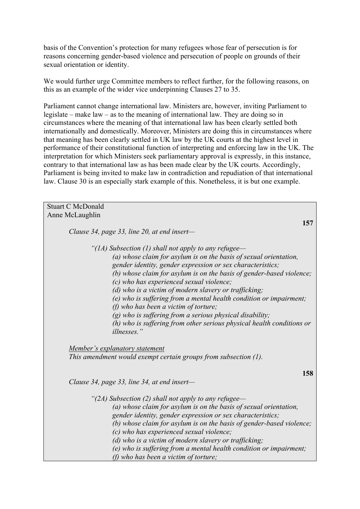basis of the Convention's protection for many refugees whose fear of persecution is for reasons concerning gender-based violence and persecution of people on grounds of their sexual orientation or identity.

We would further urge Committee members to reflect further, for the following reasons, on this as an example of the wider vice underpinning Clauses 27 to 35.

Parliament cannot change international law. Ministers are, however, inviting Parliament to legislate – make law – as to the meaning of international law. They are doing so in circumstances where the meaning of that international law has been clearly settled both internationally and domestically. Moreover, Ministers are doing this in circumstances where that meaning has been clearly settled in UK law by the UK courts at the highest level in performance of their constitutional function of interpreting and enforcing law in the UK. The interpretation for which Ministers seek parliamentary approval is expressly, in this instance, contrary to that international law as has been made clear by the UK courts. Accordingly, Parliament is being invited to make law in contradiction and repudiation of that international law. Clause 30 is an especially stark example of this. Nonetheless, it is but one example.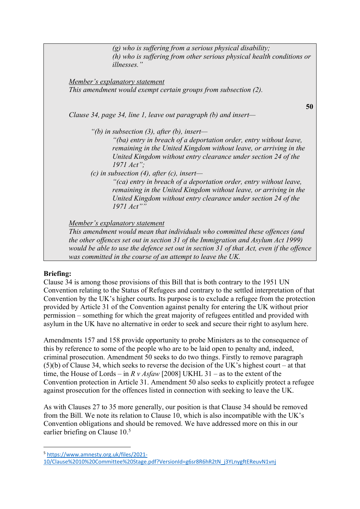*(g) who is suffering from a serious physical disability; (h) who is suffering from other serious physical health conditions or illnesses."* 

*Member's explanatory statement This amendment would exempt certain groups from subsection (2).* 

*Clause 34, page 34, line 1, leave out paragraph (b) and insert—*

**50** 

*"(b) in subsection (3), after (b), insert—*

*"(ba) entry in breach of a deportation order, entry without leave, remaining in the United Kingdom without leave, or arriving in the United Kingdom without entry clearance under section 24 of the 1971 Act";* 

*(c) in subsection (4), after (c), insert—*

*"(ca) entry in breach of a deportation order, entry without leave, remaining in the United Kingdom without leave, or arriving in the United Kingdom without entry clearance under section 24 of the 1971 Act""* 

*Member's explanatory statement* 

*This amendment would mean that individuals who committed these offences (and the other offences set out in section 31 of the Immigration and Asylum Act 1999) would be able to use the defence set out in section 31 of that Act, even if the offence was committed in the course of an attempt to leave the UK.* 

#### **Briefing:**

Clause 34 is among those provisions of this Bill that is both contrary to the 1951 UN Convention relating to the Status of Refugees and contrary to the settled interpretation of that Convention by the UK's higher courts. Its purpose is to exclude a refugee from the protection provided by Article 31 of the Convention against penalty for entering the UK without prior permission – something for which the great majority of refugees entitled and provided with asylum in the UK have no alternative in order to seek and secure their right to asylum here.

Amendments 157 and 158 provide opportunity to probe Ministers as to the consequence of this by reference to some of the people who are to be laid open to penalty and, indeed, criminal prosecution. Amendment 50 seeks to do two things. Firstly to remove paragraph (5)(b) of Clause 34, which seeks to reverse the decision of the UK's highest court – at that time, the House of Lords – in *R v Asfaw* [2008] UKHL 31 – as to the extent of the Convention protection in Article 31. Amendment 50 also seeks to explicitly protect a refugee against prosecution for the offences listed in connection with seeking to leave the UK.

As with Clauses 27 to 35 more generally, our position is that Clause 34 should be removed from the Bill. We note its relation to Clause 10, which is also incompatible with the UK's Convention obligations and should be removed. We have addressed more on this in our earlier briefing on Clause 10.<sup>5</sup>

<sup>5</sup> https://www.amnesty.org.uk/files/2021- 10/Clause%2010%20Committee%20Stage.pdf?VersionId=g6sr8R6hR2tN\_j3YLnygftEReuvN1vnj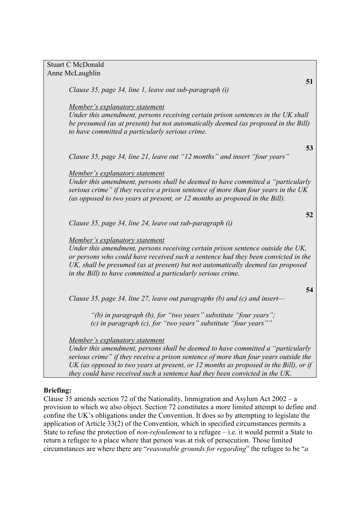Stuart C McDonald Anne McLaughlin

*Clause 35, page 34, line 1, leave out sub-paragraph (i)* 

*Member's explanatory statement* 

*Under this amendment, persons receiving certain prison sentences in the UK shall be presumed (as at present) but not automatically deemed (as proposed in the Bill) to have committed a particularly serious crime.* 

*Clause 35, page 34, line 21, leave out "12 months" and insert "four years"* 

*Member's explanatory statement* 

*Under this amendment, persons shall be deemed to have committed a "particularly serious crime" if they receive a prison sentence of more than four years in the UK (as opposed to two years at present, or 12 months as proposed in the Bill).* 

*Clause 35, page 34, line 24, leave out sub-paragraph (i)* 

#### *Member's explanatory statement*

*Under this amendment, persons receiving certain prison sentence outside the UK, or persons who could have received such a sentence had they been convicted in the UK, shall be presumed (as at present) but not automatically deemed (as proposed in the Bill) to have committed a particularly serious crime.* 

*Clause 35, page 34, line 27, leave out paragraphs (b) and (c) and insert—*

*"(b) in paragraph (b), for "two years" substitute "four years"; (c) in paragraph (c), for "two years" substitute "four years""* 

*Member's explanatory statement* 

*Under this amendment, persons shall be deemed to have committed a "particularly serious crime" if they receive a prison sentence of more than four years outside the UK (as opposed to two years at present, or 12 months as proposed in the Bill), or if they could have received such a sentence had they been convicted in the UK.* 

#### **Briefing:**

Clause 35 amends section 72 of the Nationality, Immigration and Asylum Act 2002 – a provision to which we also object. Section 72 constitutes a more limited attempt to define and confine the UK's obligations under the Convention. It does so by attempting to legislate the application of Article 33(2) of the Convention, which in specified circumstances permits a State to refuse the protection of *non-refoulement* to a refugee – i.e. it would permit a State to return a refugee to a place where that person was at risk of persecution. Those limited circumstances are where there are "*reasonable grounds for regarding*" the refugee to be "*a* 

**51**

**53**

**52**

**54**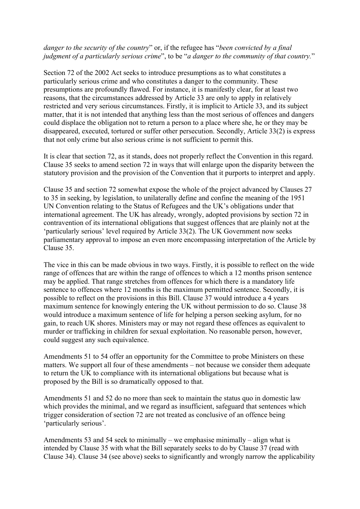#### *danger to the security of the country*" or, if the refugee has "*been convicted by a final judgment of a particularly serious crime*", to be "*a danger to the community of that country.*"

Section 72 of the 2002 Act seeks to introduce presumptions as to what constitutes a particularly serious crime and who constitutes a danger to the community. These presumptions are profoundly flawed. For instance, it is manifestly clear, for at least two reasons, that the circumstances addressed by Article 33 are only to apply in relatively restricted and very serious circumstances. Firstly, it is implicit to Article 33, and its subject matter, that it is not intended that anything less than the most serious of offences and dangers could displace the obligation not to return a person to a place where she, he or they may be disappeared, executed, tortured or suffer other persecution. Secondly, Article 33(2) is express that not only crime but also serious crime is not sufficient to permit this.

It is clear that section 72, as it stands, does not properly reflect the Convention in this regard. Clause 35 seeks to amend section 72 in ways that will enlarge upon the disparity between the statutory provision and the provision of the Convention that it purports to interpret and apply.

Clause 35 and section 72 somewhat expose the whole of the project advanced by Clauses 27 to 35 in seeking, by legislation, to unilaterally define and confine the meaning of the 1951 UN Convention relating to the Status of Refugees and the UK's obligations under that international agreement. The UK has already, wrongly, adopted provisions by section 72 in contravention of its international obligations that suggest offences that are plainly not at the 'particularly serious' level required by Article 33(2). The UK Government now seeks parliamentary approval to impose an even more encompassing interpretation of the Article by Clause 35.

The vice in this can be made obvious in two ways. Firstly, it is possible to reflect on the wide range of offences that are within the range of offences to which a 12 months prison sentence may be applied. That range stretches from offences for which there is a mandatory life sentence to offences where 12 months is the maximum permitted sentence. Secondly, it is possible to reflect on the provisions in this Bill. Clause 37 would introduce a 4 years maximum sentence for knowingly entering the UK without permission to do so. Clause 38 would introduce a maximum sentence of life for helping a person seeking asylum, for no gain, to reach UK shores. Ministers may or may not regard these offences as equivalent to murder or trafficking in children for sexual exploitation. No reasonable person, however, could suggest any such equivalence.

Amendments 51 to 54 offer an opportunity for the Committee to probe Ministers on these matters. We support all four of these amendments – not because we consider them adequate to return the UK to compliance with its international obligations but because what is proposed by the Bill is so dramatically opposed to that.

Amendments 51 and 52 do no more than seek to maintain the status quo in domestic law which provides the minimal, and we regard as insufficient, safeguard that sentences which trigger consideration of section 72 are not treated as conclusive of an offence being 'particularly serious'.

Amendments 53 and 54 seek to minimally – we emphasise minimally – align what is intended by Clause 35 with what the Bill separately seeks to do by Clause 37 (read with Clause 34). Clause 34 (see above) seeks to significantly and wrongly narrow the applicability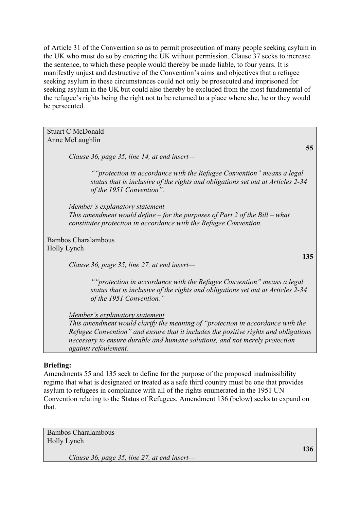of Article 31 of the Convention so as to permit prosecution of many people seeking asylum in the UK who must do so by entering the UK without permission. Clause 37 seeks to increase the sentence, to which these people would thereby be made liable, to four years. It is manifestly unjust and destructive of the Convention's aims and objectives that a refugee seeking asylum in these circumstances could not only be prosecuted and imprisoned for seeking asylum in the UK but could also thereby be excluded from the most fundamental of the refugee's rights being the right not to be returned to a place where she, he or they would be persecuted.

Stuart C McDonald Anne McLaughlin

*Clause 36, page 35, line 14, at end insert—*

*""protection in accordance with the Refugee Convention" means a legal status that is inclusive of the rights and obligations set out at Articles 2-34 of the 1951 Convention".* 

*Member's explanatory statement This amendment would define – for the purposes of Part 2 of the Bill – what constitutes protection in accordance with the Refugee Convention.* 

Bambos Charalambous Holly Lynch

*Clause 36, page 35, line 27, at end insert—*

*""protection in accordance with the Refugee Convention" means a legal status that is inclusive of the rights and obligations set out at Articles 2-34 of the 1951 Convention."* 

*Member's explanatory statement* 

*This amendment would clarify the meaning of "protection in accordance with the Refugee Convention" and ensure that it includes the positive rights and obligations necessary to ensure durable and humane solutions, and not merely protection against refoulement.* 

# **Briefing:**

Amendments 55 and 135 seek to define for the purpose of the proposed inadmissibility regime that what is designated or treated as a safe third country must be one that provides asylum to refugees in compliance with all of the rights enumerated in the 1951 UN Convention relating to the Status of Refugees. Amendment 136 (below) seeks to expand on that.

Bambos Charalambous Holly Lynch

*Clause 36, page 35, line 27, at end insert—*

**55**

**135**